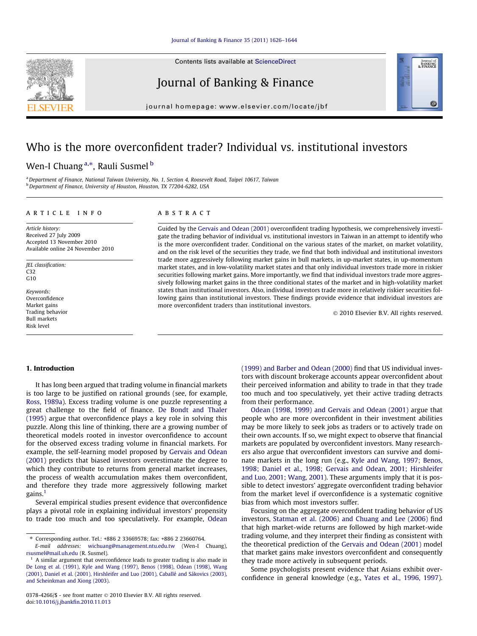Contents lists available at [ScienceDirect](http://www.sciencedirect.com/science/journal/03784266)

## Journal of Banking & Finance

journal homepage: [www.elsevier.com/locate/jbf](http://www.elsevier.com/locate/jbf)

# Who is the more overconfident trader? Individual vs. institutional investors

### Wen-I Chuang <sup>a,</sup>\*, Rauli Susmel <sup>b</sup>

a Department of Finance, National Taiwan University, No. 1, Section 4, Roosevelt Road, Taipei 10617, Taiwan b Department of Finance, University of Houston, Houston, TX 77204-6282, USA

#### article info

Article history: Received 27 July 2009 Accepted 13 November 2010 Available online 24 November 2010

JEL classification: C32  $G10$ 

Keywords: Overconfidence Market gains Trading behavior Bull markets Risk level

#### **ABSTRACT**

Guided by the [Gervais and Odean \(2001\)](#page--1-0) overconfident trading hypothesis, we comprehensively investigate the trading behavior of individual vs. institutional investors in Taiwan in an attempt to identify who is the more overconfident trader. Conditional on the various states of the market, on market volatility, and on the risk level of the securities they trade, we find that both individual and institutional investors trade more aggressively following market gains in bull markets, in up-market states, in up-momentum market states, and in low-volatility market states and that only individual investors trade more in riskier securities following market gains. More importantly, we find that individual investors trade more aggressively following market gains in the three conditional states of the market and in high-volatility market states than institutional investors. Also, individual investors trade more in relatively riskier securities following gains than institutional investors. These findings provide evidence that individual investors are more overconfident traders than institutional investors.

- 2010 Elsevier B.V. All rights reserved.

Journal of<br>BANKING<br>& FINANCE

60

#### 1. Introduction

It has long been argued that trading volume in financial markets is too large to be justified on rational grounds (see, for example, [Ross, 1989a\)](#page--1-0). Excess trading volume is one puzzle representing a great challenge to the field of finance. [De Bondt and Thaler](#page--1-0) [\(1995\)](#page--1-0) argue that overconfidence plays a key role in solving this puzzle. Along this line of thinking, there are a growing number of theoretical models rooted in investor overconfidence to account for the observed excess trading volume in financial markets. For example, the self-learning model proposed by [Gervais and Odean](#page--1-0) [\(2001\)](#page--1-0) predicts that biased investors overestimate the degree to which they contribute to returns from general market increases, the process of wealth accumulation makes them overconfident, and therefore they trade more aggressively following market gains.<sup>1</sup>

Several empirical studies present evidence that overconfidence plays a pivotal role in explaining individual investors' propensity to trade too much and too speculatively. For example, [Odean](#page--1-0) [\(1999\) and Barber and Odean \(2000\)](#page--1-0) find that US individual investors with discount brokerage accounts appear overconfident about their perceived information and ability to trade in that they trade too much and too speculatively, yet their active trading detracts from their performance.

[Odean \(1998, 1999\) and Gervais and Odean \(2001\)](#page--1-0) argue that people who are more overconfident in their investment abilities may be more likely to seek jobs as traders or to actively trade on their own accounts. If so, we might expect to observe that financial markets are populated by overconfident investors. Many researchers also argue that overconfident investors can survive and dominate markets in the long run (e.g., [Kyle and Wang, 1997; Benos,](#page--1-0) [1998; Daniel et al., 1998; Gervais and Odean, 2001; Hirshleifer](#page--1-0) [and Luo, 2001; Wang, 2001\)](#page--1-0). These arguments imply that it is possible to detect investors' aggregate overconfident trading behavior from the market level if overconfidence is a systematic cognitive bias from which most investors suffer.

Focusing on the aggregate overconfident trading behavior of US investors, Statman et al. (2006) and Chuang and Lee (2006) find that high market-wide returns are followed by high market-wide trading volume, and they interpret their finding as consistent with the theoretical prediction of the [Gervais and Odean \(2001\)](#page--1-0) model that market gains make investors overconfident and consequently they trade more actively in subsequent periods.

Some psychologists present evidence that Asians exhibit overconfidence in general knowledge (e.g., [Yates et al., 1996, 1997\)](#page--1-0).



<sup>⇑</sup> Corresponding author. Tel.: +886 2 33669578; fax: +886 2 23660764.

E-mail addresses: [wichuang@management.ntu.edu.tw](mailto:wichuang@management.ntu.edu.tw) (Wen-I Chuang), [rsusmel@mail.uh.edu](mailto:          rsusmel@mail.uh.edu) (R. Susmel).

 $<sup>1</sup>$  A similar argument that overconfidence leads to greater trading is also made in</sup> [De Long et al. \(1991\), Kyle and Wang \(1997\), Benos \(1998\), Odean \(1998\), Wang](#page--1-0) [\(2001\), Daniel et al. \(2001\), Hirshleifer and Luo \(2001\), Caballé and Sákovics \(2003\),](#page--1-0) [and Scheinkman and Xiong \(2003\).](#page--1-0)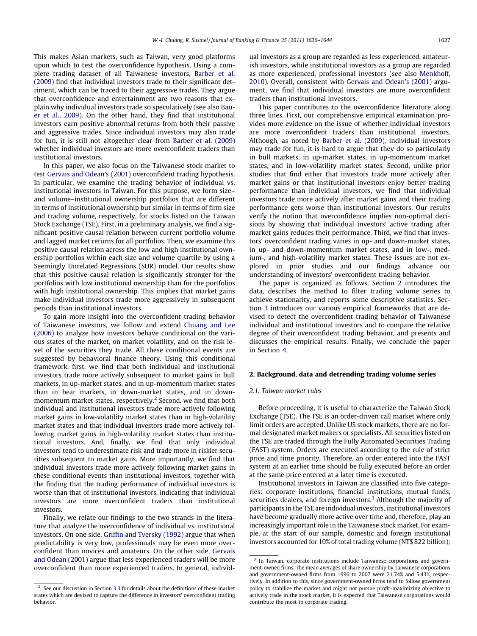This makes Asian markets, such as Taiwan, very good platforms upon which to test the overconfidence hypothesis. Using a complete trading dataset of all Taiwanese investors, [Barber et al.](#page--1-0) [\(2009\)](#page--1-0) find that individual investors trade to their significant detriment, which can be traced to their aggressive trades. They argue that overconfidence and entertainment are two reasons that explain why individual investors trade so speculatively (see also [Bau](#page--1-0)[er et al., 2009\)](#page--1-0). On the other hand, they find that institutional investors earn positive abnormal returns from both their passive and aggressive trades. Since individual investors may also trade for fun, it is still not altogether clear from [Barber et al. \(2009\)](#page--1-0) whether individual investors are more overconfident traders than institutional investors.

In this paper, we also focus on the Taiwanese stock market to test [Gervais and Odean's \(2001\)](#page--1-0) overconfident trading hypothesis. In particular, we examine the trading behavior of individual vs. institutional investors in Taiwan. For this purpose, we form size– and volume–institutional ownership portfolios that are different in terms of institutional ownership but similar in terms of firm size and trading volume, respectively, for stocks listed on the Taiwan Stock Exchange (TSE). First, in a preliminary analysis, we find a significant positive causal relation between current portfolio volume and lagged market returns for all portfolios. Then, we examine this positive causal relation across the low and high institutional ownership portfolios within each size and volume quartile by using a Seemingly Unrelated Regressions (SUR) model. Our results show that this positive causal relation is significantly stronger for the portfolios with low institutional ownership than for the portfolios with high institutional ownership. This implies that market gains make individual investors trade more aggressively in subsequent periods than institutional investors.

To gain more insight into the overconfident trading behavior of Taiwanese investors, we follow and extend [Chuang and Lee](#page--1-0) [\(2006\)](#page--1-0) to analyze how investors behave conditional on the various states of the market, on market volatility, and on the risk level of the securities they trade. All these conditional events are suggested by behavioral finance theory. Using this conditional framework, first, we find that both individual and institutional investors trade more actively subsequent to market gains in bull markets, in up-market states, and in up-momentum market states than in bear markets, in down-market states, and in downmomentum market states, respectively.<sup>2</sup> Second, we find that both individual and institutional investors trade more actively following market gains in low-volatility market states than in high-volatility market states and that individual investors trade more actively following market gains in high-volatility market states than institutional investors. And, finally, we find that only individual investors tend to underestimate risk and trade more in riskier securities subsequent to market gains. More importantly, we find that individual investors trade more actively following market gains in these conditional events than institutional investors, together with the finding that the trading performance of individual investors is worse than that of institutional investors, indicating that individual investors are more overconfident traders than institutional investors.

Finally, we relate our findings to the two strands in the literature that analyze the overconfidence of individual vs. institutional investors. On one side, [Griffin and Tversky \(1992\)](#page--1-0) argue that when predictability is very low, professionals may be even more overconfident than novices and amateurs. On the other side, [Gervais](#page--1-0) [and Odean \(2001\)](#page--1-0) argue that less experienced traders will be more overconfident than more experienced traders. In general, individual investors as a group are regarded as less experienced, amateurish investors, while institutional investors as a group are regarded as more experienced, professional investors (see also [Menkhoff,](#page--1-0) [2010](#page--1-0)). Overall, consistent with [Gervais and Odean's \(2001\)](#page--1-0) argument, we find that individual investors are more overconfident traders than institutional investors.

This paper contributes to the overconfidence literature along three lines. First, our comprehensive empirical examination provides more evidence on the issue of whether individual investors are more overconfident traders than institutional investors. Although, as noted by [Barber et al. \(2009\)](#page--1-0), individual investors may trade for fun, it is hard to argue that they do so particularly in bull markets, in up-market states, in up-momentum market states, and in low-volatility market states. Second, unlike prior studies that find either that investors trade more actively after market gains or that institutional investors enjoy better trading performance than individual investors, we find that individual investors trade more actively after market gains and their trading performance gets worse than institutional investors. Our results verify the notion that overconfidence implies non-optimal decisions by showing that individual investors' active trading after market gains reduces their performance. Third, we find that investors' overconfident trading varies in up- and down-market states, in up- and down-momentum market states, and in low-, medium-, and high-volatility market states. These issues are not explored in prior studies and our findings advance our understanding of investors' overconfident trading behavior.

The paper is organized as follows. Section 2 introduces the data, describes the method to filter trading volume series to achieve stationarity, and reports some descriptive statistics. Section [3](#page--1-0) introduces our various empirical frameworks that are devised to detect the overconfident trading behavior of Taiwanese individual and institutional investors and to compare the relative degree of their overconfident trading behavior, and presents and discusses the empirical results. Finally, we conclude the paper in Section [4.](#page--1-0)

#### 2. Background, data and detrending trading volume series

#### 2.1. Taiwan market rules

Before proceeding, it is useful to characterize the Taiwan Stock Exchange (TSE). The TSE is an order-driven call market where only limit orders are accepted. Unlike US stock markets, there are no formal designated market makers or specialists. All securities listed on the TSE are traded through the Fully Automated Securities Trading (FAST) system. Orders are executed according to the rule of strict price and time priority. Therefore, an order entered into the FAST system at an earlier time should be fully executed before an order at the same price entered at a later time is executed.

Institutional investors in Taiwan are classified into five categories: corporate institutions, financial institutions, mutual funds, securities dealers, and foreign investors.<sup>3</sup> Although the majority of participants in the TSE are individual investors, institutional investors have become gradually more active over time and, therefore, play an increasingly important role in the Taiwanese stock market. For example, at the start of our sample, domestic and foreign institutional investors accounted for 10% of total trading volume (NT\$ 822 billion);

 $2$  See our discussion in Section [3.3](#page--1-0) for details about the definitions of these market states which are devised to capture the difference in investors' overconfident trading behavior.

<sup>&</sup>lt;sup>3</sup> In Taiwan, corporate institutions include Taiwanese corporations and government-owned firms. The mean averages of share ownership by Taiwanese corporations and government-owned firms from 1996 to 2007 were 21.74% and 5.43%, respectively. In addition to this, since government-owned firms tend to follow government policy to stabilize the market and might not pursue profit-maximizing objective to actively trade in the stock market, it is expected that Taiwanese corporations would contribute the most to corporate trading.